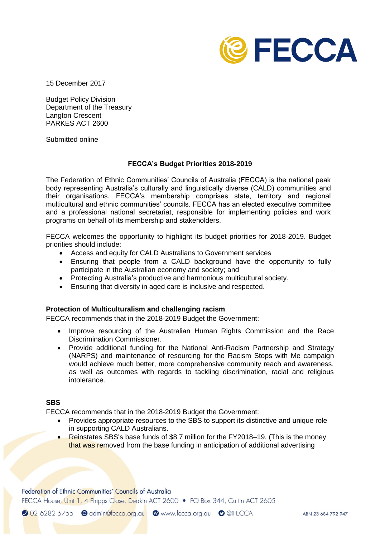

15 December 2017

Budget Policy Division Department of the Treasury Langton Crescent PARKES ACT 2600

Submitted online

#### **FECCA's Budget Priorities 2018-2019**

The Federation of Ethnic Communities' Councils of Australia (FECCA) is the national peak body representing Australia's culturally and linguistically diverse (CALD) communities and their organisations. FECCA's membership comprises state, territory and regional multicultural and ethnic communities' councils. FECCA has an elected executive committee and a professional national secretariat, responsible for implementing policies and work programs on behalf of its membership and stakeholders.

FECCA welcomes the opportunity to highlight its budget priorities for 2018-2019. Budget priorities should include:

- Access and equity for CALD Australians to Government services
- Ensuring that people from a CALD background have the opportunity to fully participate in the Australian economy and society; and
- Protecting Australia's productive and harmonious multicultural society.
- Ensuring that diversity in aged care is inclusive and respected.

#### **Protection of Multiculturalism and challenging racism**

FECCA recommends that in the 2018-2019 Budget the Government:

- Improve resourcing of the Australian Human Rights Commission and the Race Discrimination Commissioner.
- Provide additional funding for the National Anti-Racism Partnership and Strategy (NARPS) and maintenance of resourcing for the Racism Stops with Me campaign would achieve much better, more comprehensive community reach and awareness, as well as outcomes with regards to tackling discrimination, racial and religious intolerance.

#### **SBS**

FECCA recommends that in the 2018-2019 Budget the Government:

- Provides appropriate resources to the SBS to support its distinctive and unique role in supporting CALD Australians.
- Reinstates SBS's base funds of \$8.7 million for the FY2018–19. (This is the money that was removed from the base funding in anticipation of additional advertising

Federation of Ethnic Communities' Councils of Australia

FECCA House, Unit 1, 4 Phipps Close, Deakin ACT 2600 • PO Box 344, Curtin ACT 2605

2 02 6282 5755 e admin@fecca.org.au @www.fecca.org.au o @iFECCA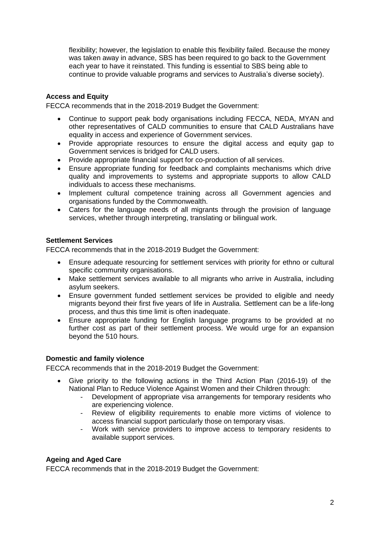flexibility; however, the legislation to enable this flexibility failed. Because the money was taken away in advance, SBS has been required to go back to the Government each year to have it reinstated. This funding is essential to SBS being able to continue to provide valuable programs and services to Australia's diverse society).

# **Access and Equity**

FECCA recommends that in the 2018-2019 Budget the Government:

- Continue to support peak body organisations including FECCA, NEDA, MYAN and other representatives of CALD communities to ensure that CALD Australians have equality in access and experience of Government services.
- Provide appropriate resources to ensure the digital access and equity gap to Government services is bridged for CALD users.
- Provide appropriate financial support for co-production of all services.
- Ensure appropriate funding for feedback and complaints mechanisms which drive quality and improvements to systems and appropriate supports to allow CALD individuals to access these mechanisms.
- Implement cultural competence training across all Government agencies and organisations funded by the Commonwealth.
- Caters for the language needs of all migrants through the provision of language services, whether through interpreting, translating or bilingual work.

### **Settlement Services**

FECCA recommends that in the 2018-2019 Budget the Government:

- Ensure adequate resourcing for settlement services with priority for ethno or cultural specific community organisations.
- Make settlement services available to all migrants who arrive in Australia, including asylum seekers.
- Ensure government funded settlement services be provided to eligible and needy migrants beyond their first five years of life in Australia. Settlement can be a life-long process, and thus this time limit is often inadequate.
- Ensure appropriate funding for English language programs to be provided at no further cost as part of their settlement process. We would urge for an expansion beyond the 510 hours.

### **Domestic and family violence**

FECCA recommends that in the 2018-2019 Budget the Government:

- Give priority to the following actions in the Third Action Plan (2016-19) of the National Plan to Reduce Violence Against Women and their Children through:
	- Development of appropriate visa arrangements for temporary residents who are experiencing violence.
	- Review of eligibility requirements to enable more victims of violence to access financial support particularly those on temporary visas.
	- Work with service providers to improve access to temporary residents to available support services.

### **Ageing and Aged Care**

FECCA recommends that in the 2018-2019 Budget the Government: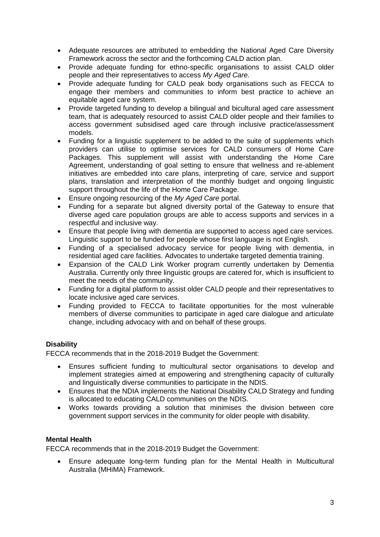- Adequate resources are attributed to embedding the National Aged Care Diversity Framework across the sector and the forthcoming CALD action plan.
- Provide adequate funding for ethno-specific organisations to assist CALD older people and their representatives to access *My Aged Care.*
- Provide adequate funding for CALD peak body organisations such as FECCA to engage their members and communities to inform best practice to achieve an equitable aged care system.
- Provide targeted funding to develop a bilingual and bicultural aged care assessment team, that is adequately resourced to assist CALD older people and their families to access government subsidised aged care through inclusive practice/assessment models.
- Funding for a linguistic supplement to be added to the suite of supplements which providers can utilise to optimise services for CALD consumers of Home Care Packages. This supplement will assist with understanding the Home Care Agreement, understanding of goal setting to ensure that wellness and re-ablement initiatives are embedded into care plans, interpreting of care, service and support plans, translation and interpretation of the monthly budget and ongoing linguistic support throughout the life of the Home Care Package.
- Ensure ongoing resourcing of the *My Aged Care* portal.
- Funding for a separate but aligned diversity portal of the Gateway to ensure that diverse aged care population groups are able to access supports and services in a respectful and inclusive way.
- Ensure that people living with dementia are supported to access aged care services. Linguistic support to be funded for people whose first language is not English.
- Funding of a specialised advocacy service for people living with dementia, in residential aged care facilities. Advocates to undertake targeted dementia training.
- Expansion of the CALD Link Worker program currently undertaken by Dementia Australia. Currently only three linguistic groups are catered for, which is insufficient to meet the needs of the community.
- Funding for a digital platform to assist older CALD people and their representatives to locate inclusive aged care services.
- Funding provided to FECCA to facilitate opportunities for the most vulnerable members of diverse communities to participate in aged care dialogue and articulate change, including advocacy with and on behalf of these groups.

## **Disability**

FECCA recommends that in the 2018-2019 Budget the Government:

- Ensures sufficient funding to multicultural sector organisations to develop and implement strategies aimed at empowering and strengthening capacity of culturally and linguistically diverse communities to participate in the NDIS.
- Ensures that the NDIA implements the National Disability CALD Strategy and funding is allocated to educating CALD communities on the NDIS.
- Works towards providing a solution that minimises the division between core government support services in the community for older people with disability.

## **Mental Health**

FECCA recommends that in the 2018-2019 Budget the Government:

 Ensure adequate long-term funding plan for the Mental Health in Multicultural Australia (MHiMA) Framework.